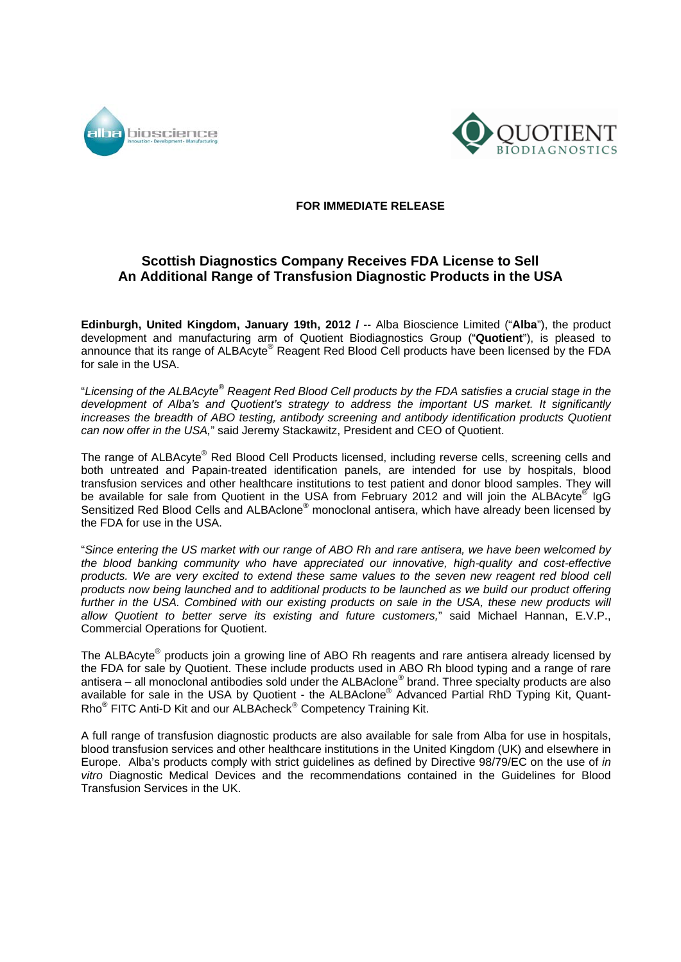



## **FOR IMMEDIATE RELEASE**

## **Scottish Diagnostics Company Receives FDA License to Sell An Additional Range of Transfusion Diagnostic Products in the USA**

**Edinburgh, United Kingdom, January 19th, 2012 /** -- Alba Bioscience Limited ("**Alba**"), the product development and manufacturing arm of Quotient Biodiagnostics Group ("**Quotient**"), is pleased to announce that its range of ALBAcyte® Reagent Red Blood Cell products have been licensed by the FDA for sale in the USA.

"*Licensing of the ALBAcyte® Reagent Red Blood Cell products by the FDA satisfies a crucial stage in the development of Alba's and Quotient's strategy to address the important US market. It significantly increases the breadth of ABO testing, antibody screening and antibody identification products Quotient can now offer in the USA,*" said Jeremy Stackawitz, President and CEO of Quotient.

The range of ALBAcyte® Red Blood Cell Products licensed, including reverse cells, screening cells and both untreated and Papain-treated identification panels, are intended for use by hospitals, blood transfusion services and other healthcare institutions to test patient and donor blood samples. They will be available for sale from Quotient in the USA from February 2012 and will join the ALBAcyte<sup>®</sup> IgG Sensitized Red Blood Cells and ALBAclone<sup>®</sup> monoclonal antisera, which have already been licensed by the FDA for use in the USA.

"*Since entering the US market with our range of ABO Rh and rare antisera, we have been welcomed by the blood banking community who have appreciated our innovative, high-quality and cost-effective*  products. We are very excited to extend these same values to the seven new reagent red blood cell *products now being launched and to additional products to be launched as we build our product offering further in the USA. Combined with our existing products on sale in the USA, these new products will allow Quotient to better serve its existing and future customers,*" said Michael Hannan, E.V.P., Commercial Operations for Quotient.

The ALBAcyte<sup>®</sup> products join a growing line of ABO Rh reagents and rare antisera already licensed by the FDA for sale by Quotient. These include products used in ABO Rh blood typing and a range of rare antisera – all monoclonal antibodies sold under the ALBAclone® brand. Three specialty products are also available for sale in the USA by Quotient - the ALBAclone® Advanced Partial RhD Typing Kit, Quant-Rho<sup>®</sup> FITC Anti-D Kit and our ALBAcheck<sup>®</sup> Competency Training Kit.

A full range of transfusion diagnostic products are also available for sale from Alba for use in hospitals, blood transfusion services and other healthcare institutions in the United Kingdom (UK) and elsewhere in Europe. Alba's products comply with strict guidelines as defined by Directive 98/79/EC on the use of *in vitro* Diagnostic Medical Devices and the recommendations contained in the Guidelines for Blood Transfusion Services in the UK.